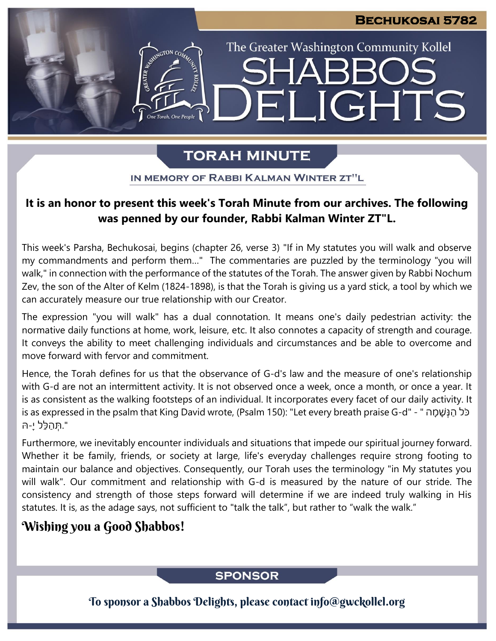The Greater Washington Community Kollel

ELIGHTS

# **TORAH MINUTE**

IN MEMORY OF RABBI KALMAN WINTER ZT"L

### **It is an honor to present this week's Torah Minute from our archives. The following was penned by our founder, Rabbi Kalman Winter ZT"L.**

This week's Parsha, Bechukosai, begins (chapter 26, verse 3) "If in My statutes you will walk and observe my commandments and perform them…" The commentaries are puzzled by the terminology "you will walk," in connection with the performance of the statutes of the Torah. The answer given by Rabbi Nochum Zev, the son of the Alter of Kelm (1824-1898), is that the Torah is giving us a yard stick, a tool by which we can accurately measure our true relationship with our Creator.

The expression "you will walk" has a dual connotation. It means one's daily pedestrian activity: the normative daily functions at home, work, leisure, etc. It also connotes a capacity of strength and courage. It conveys the ability to meet challenging individuals and circumstances and be able to overcome and move forward with fervor and commitment.

Hence, the Torah defines for us that the observance of G-d's law and the measure of one's relationship with G-d are not an intermittent activity. It is not observed once a week, once a month, or once a year. It is as consistent as the walking footsteps of an individual. It incorporates every facet of our daily activity. It is as expressed in the psalm that King David wrote, (Psalm 150): "Let every breath praise G-d" - " כֹּל הַנְּשָׁמָה ".תְּ הַ לֵּל יָׁ ּ-ה

Furthermore, we inevitably encounter individuals and situations that impede our spiritual journey forward. Whether it be family, friends, or society at large, life's everyday challenges require strong footing to maintain our balance and objectives. Consequently, our Torah uses the terminology "in My statutes you will walk". Our commitment and relationship with G-d is measured by the nature of our stride. The consistency and strength of those steps forward will determine if we are indeed truly walking in His statutes. It is, as the adage says, not sufficient to "talk the talk", but rather to "walk the walk."

## Wishing you a Good Shabbos!

### **SPONSOR**

To sponsor a Shabbos Delights, please contact info@gwckollel.org